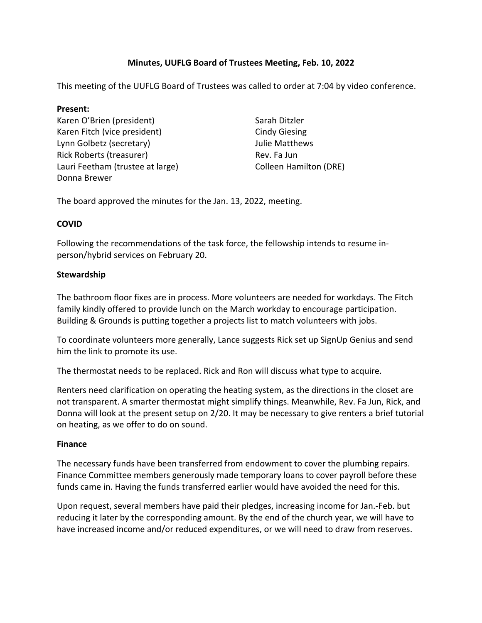# **Minutes, UUFLG Board of Trustees Meeting, Feb. 10, 2022**

This meeting of the UUFLG Board of Trustees was called to order at 7:04 by video conference.

#### **Present:**

Karen O'Brien (president) Karen Fitch (vice president) Lynn Golbetz (secretary) Rick Roberts (treasurer) Lauri Feetham (trustee at large) Donna Brewer

Sarah Ditzler Cindy Giesing Julie Matthews Rev. Fa Jun Colleen Hamilton (DRE)

The board approved the minutes for the Jan. 13, 2022, meeting.

#### **COVID**

Following the recommendations of the task force, the fellowship intends to resume inperson/hybrid services on February 20.

## **Stewardship**

The bathroom floor fixes are in process. More volunteers are needed for workdays. The Fitch family kindly offered to provide lunch on the March workday to encourage participation. Building & Grounds is putting together a projects list to match volunteers with jobs.

To coordinate volunteers more generally, Lance suggests Rick set up SignUp Genius and send him the link to promote its use.

The thermostat needs to be replaced. Rick and Ron will discuss what type to acquire.

Renters need clarification on operating the heating system, as the directions in the closet are not transparent. A smarter thermostat might simplify things. Meanwhile, Rev. Fa Jun, Rick, and Donna will look at the present setup on 2/20. It may be necessary to give renters a brief tutorial on heating, as we offer to do on sound.

#### **Finance**

The necessary funds have been transferred from endowment to cover the plumbing repairs. Finance Committee members generously made temporary loans to cover payroll before these funds came in. Having the funds transferred earlier would have avoided the need for this.

Upon request, several members have paid their pledges, increasing income for Jan.-Feb. but reducing it later by the corresponding amount. By the end of the church year, we will have to have increased income and/or reduced expenditures, or we will need to draw from reserves.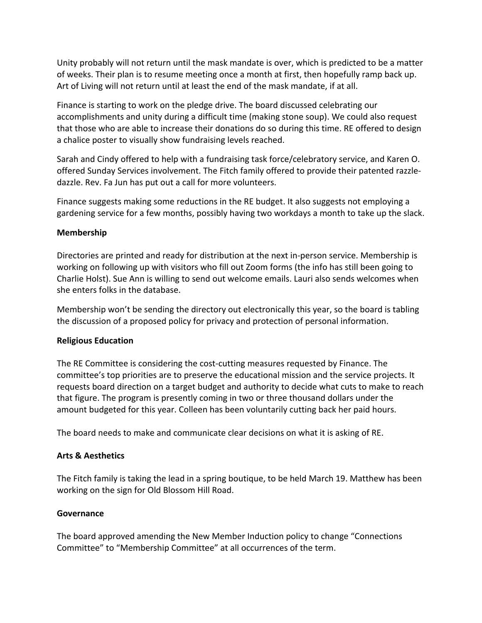Unity probably will not return until the mask mandate is over, which is predicted to be a matter of weeks. Their plan is to resume meeting once a month at first, then hopefully ramp back up. Art of Living will not return until at least the end of the mask mandate, if at all.

Finance is starting to work on the pledge drive. The board discussed celebrating our accomplishments and unity during a difficult time (making stone soup). We could also request that those who are able to increase their donations do so during this time. RE offered to design a chalice poster to visually show fundraising levels reached.

Sarah and Cindy offered to help with a fundraising task force/celebratory service, and Karen O. offered Sunday Services involvement. The Fitch family offered to provide their patented razzledazzle. Rev. Fa Jun has put out a call for more volunteers.

Finance suggests making some reductions in the RE budget. It also suggests not employing a gardening service for a few months, possibly having two workdays a month to take up the slack.

#### **Membership**

Directories are printed and ready for distribution at the next in-person service. Membership is working on following up with visitors who fill out Zoom forms (the info has still been going to Charlie Holst). Sue Ann is willing to send out welcome emails. Lauri also sends welcomes when she enters folks in the database.

Membership won't be sending the directory out electronically this year, so the board is tabling the discussion of a proposed policy for privacy and protection of personal information.

#### **Religious Education**

The RE Committee is considering the cost-cutting measures requested by Finance. The committee's top priorities are to preserve the educational mission and the service projects. It requests board direction on a target budget and authority to decide what cuts to make to reach that figure. The program is presently coming in two or three thousand dollars under the amount budgeted for this year. Colleen has been voluntarily cutting back her paid hours.

The board needs to make and communicate clear decisions on what it is asking of RE.

#### **Arts & Aesthetics**

The Fitch family is taking the lead in a spring boutique, to be held March 19. Matthew has been working on the sign for Old Blossom Hill Road.

#### **Governance**

The board approved amending the New Member Induction policy to change "Connections Committee" to "Membership Committee" at all occurrences of the term.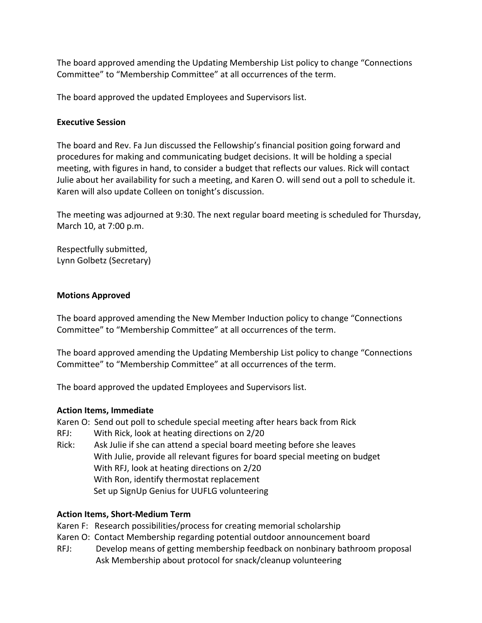The board approved amending the Updating Membership List policy to change "Connections Committee" to "Membership Committee" at all occurrences of the term.

The board approved the updated Employees and Supervisors list.

#### **Executive Session**

The board and Rev. Fa Jun discussed the Fellowship's financial position going forward and procedures for making and communicating budget decisions. It will be holding a special meeting, with figures in hand, to consider a budget that reflects our values. Rick will contact Julie about her availability for such a meeting, and Karen O. will send out a poll to schedule it. Karen will also update Colleen on tonight's discussion.

The meeting was adjourned at 9:30. The next regular board meeting is scheduled for Thursday, March 10, at 7:00 p.m.

Respectfully submitted, Lynn Golbetz (Secretary)

#### **Motions Approved**

The board approved amending the New Member Induction policy to change "Connections Committee" to "Membership Committee" at all occurrences of the term.

The board approved amending the Updating Membership List policy to change "Connections Committee" to "Membership Committee" at all occurrences of the term.

The board approved the updated Employees and Supervisors list.

#### **Action Items, Immediate**

Karen O: Send out poll to schedule special meeting after hears back from Rick

- RFJ: With Rick, look at heating directions on 2/20
- Rick: Ask Julie if she can attend a special board meeting before she leaves With Julie, provide all relevant figures for board special meeting on budget With RFJ, look at heating directions on 2/20 With Ron, identify thermostat replacement Set up SignUp Genius for UUFLG volunteering

#### **Action Items, Short-Medium Term**

- Karen F: Research possibilities/process for creating memorial scholarship
- Karen O: Contact Membership regarding potential outdoor announcement board
- RFJ: Develop means of getting membership feedback on nonbinary bathroom proposal Ask Membership about protocol for snack/cleanup volunteering